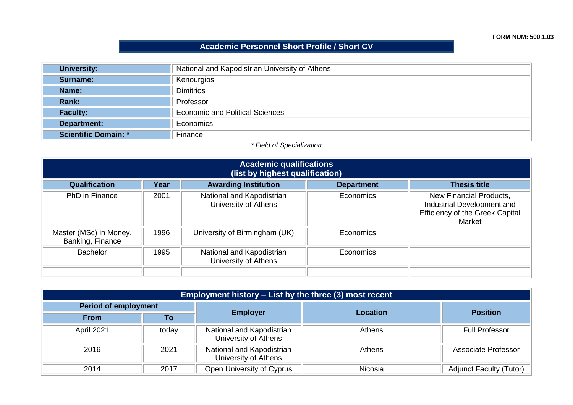**FORM NUM: 500.1.03**

## **Academic Personnel Short Profile / Short CV**

| <b>University:</b>          | National and Kapodistrian University of Athens |  |  |
|-----------------------------|------------------------------------------------|--|--|
| Surname:                    | Kenourgios                                     |  |  |
| Name:                       | <b>Dimitrios</b>                               |  |  |
| Rank:                       | Professor                                      |  |  |
| <b>Faculty:</b>             | <b>Economic and Political Sciences</b>         |  |  |
| <b>Department:</b>          | Economics                                      |  |  |
| <b>Scientific Domain: *</b> | Finance                                        |  |  |

## *\* Field of Specialization*

| <b>Academic qualifications</b><br>(list by highest qualification) |      |                                                   |                   |                                                                                                           |
|-------------------------------------------------------------------|------|---------------------------------------------------|-------------------|-----------------------------------------------------------------------------------------------------------|
| <b>Qualification</b>                                              | Year | <b>Awarding Institution</b>                       | <b>Department</b> | <b>Thesis title</b>                                                                                       |
| PhD in Finance                                                    | 2001 | National and Kapodistrian<br>University of Athens | Economics         | New Financial Products,<br>Industrial Development and<br><b>Efficiency of the Greek Capital</b><br>Market |
| Master (MSc) in Money,<br>Banking, Finance                        | 1996 | University of Birmingham (UK)                     | Economics         |                                                                                                           |
| <b>Bachelor</b>                                                   | 1995 | National and Kapodistrian<br>University of Athens | Economics         |                                                                                                           |

| <b>Employment history – List by the three (3) most recent</b> |       |                                                   |                 |                                |
|---------------------------------------------------------------|-------|---------------------------------------------------|-----------------|--------------------------------|
| <b>Period of employment</b>                                   |       |                                                   |                 |                                |
| <b>From</b>                                                   | To    | <b>Employer</b>                                   | <b>Location</b> | <b>Position</b>                |
| April 2021                                                    | today | National and Kapodistrian<br>University of Athens | Athens          | <b>Full Professor</b>          |
| 2016                                                          | 2021  | National and Kapodistrian<br>University of Athens | Athens          | Associate Professor            |
| 2014                                                          | 2017  | Open University of Cyprus                         | Nicosia         | <b>Adjunct Faculty (Tutor)</b> |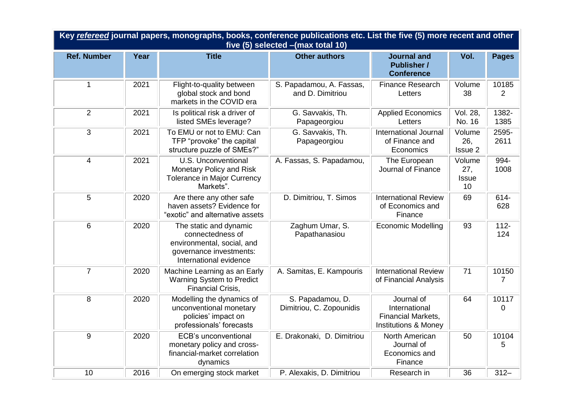| Key refereed journal papers, monographs, books, conference publications etc. List the five (5) more recent and other<br>five (5) selected - (max total 10) |      |                                                                                                                               |                                              |                                                                           |                                     |                |
|------------------------------------------------------------------------------------------------------------------------------------------------------------|------|-------------------------------------------------------------------------------------------------------------------------------|----------------------------------------------|---------------------------------------------------------------------------|-------------------------------------|----------------|
| <b>Ref. Number</b>                                                                                                                                         | Year | <b>Title</b>                                                                                                                  | <b>Other authors</b>                         | <b>Journal and</b><br><b>Publisher /</b><br><b>Conference</b>             | Vol.                                | <b>Pages</b>   |
| $\mathbf{1}$                                                                                                                                               | 2021 | Flight-to-quality between<br>global stock and bond<br>markets in the COVID era                                                | S. Papadamou, A. Fassas,<br>and D. Dimitriou | <b>Finance Research</b><br>Letters                                        | Volume<br>38                        | 10185<br>2     |
| 2                                                                                                                                                          | 2021 | Is political risk a driver of<br>listed SMEs leverage?                                                                        | G. Savvakis, Th.<br>Papageorgiou             | <b>Applied Economics</b><br>Letters                                       | Vol. 28,<br>No. 16                  | 1382-<br>1385  |
| 3                                                                                                                                                          | 2021 | To EMU or not to EMU: Can<br>TFP "provoke" the capital<br>structure puzzle of SMEs?"                                          | G. Savvakis, Th.<br>Papageorgiou             | <b>International Journal</b><br>of Finance and<br>Economics               | Volume<br>26,<br>Issue 2            | 2595-<br>2611  |
| $\overline{4}$                                                                                                                                             | 2021 | U.S. Unconventional<br>Monetary Policy and Risk<br>Tolerance in Major Currency<br>Markets".                                   | A. Fassas, S. Papadamou,                     | The European<br>Journal of Finance                                        | Volume<br>27,<br><b>Issue</b><br>10 | 994-<br>1008   |
| 5                                                                                                                                                          | 2020 | Are there any other safe<br>haven assets? Evidence for<br>"exotic" and alternative assets                                     | D. Dimitriou, T. Simos                       | <b>International Review</b><br>of Economics and<br>Finance                | 69                                  | 614-<br>628    |
| $6\phantom{1}$                                                                                                                                             | 2020 | The static and dynamic<br>connectedness of<br>environmental, social, and<br>governance investments:<br>International evidence | Zaghum Umar, S.<br>Papathanasiou             | <b>Economic Modelling</b>                                                 | 93                                  | $112 -$<br>124 |
| $\overline{7}$                                                                                                                                             | 2020 | Machine Learning as an Early<br>Warning System to Predict<br><b>Financial Crisis,</b>                                         | A. Samitas, E. Kampouris                     | <b>International Review</b><br>of Financial Analysis                      | 71                                  | 10150<br>7     |
| 8                                                                                                                                                          | 2020 | Modelling the dynamics of<br>unconventional monetary<br>policies' impact on<br>professionals' forecasts                       | S. Papadamou, D.<br>Dimitriou, C. Zopounidis | Journal of<br>International<br>Financial Markets,<br>Institutions & Money | 64                                  | 10117<br>0     |
| 9                                                                                                                                                          | 2020 | <b>ECB's unconventional</b><br>monetary policy and cross-<br>financial-market correlation<br>dynamics                         | E. Drakonaki, D. Dimitriou                   | North American<br>Journal of<br>Economics and<br>Finance                  | 50                                  | 10104<br>5     |
| 10                                                                                                                                                         | 2016 | On emerging stock market                                                                                                      | P. Alexakis, D. Dimitriou                    | Research in                                                               | 36                                  | $312 -$        |